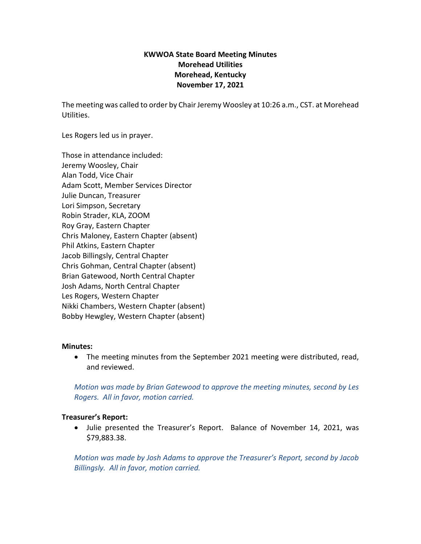# **KWWOA State Board Meeting Minutes Morehead Utilities Morehead, Kentucky November 17, 2021**

The meeting was called to order by Chair Jeremy Woosley at 10:26 a.m., CST. at Morehead Utilities.

Les Rogers led us in prayer.

Those in attendance included: Jeremy Woosley, Chair Alan Todd, Vice Chair Adam Scott, Member Services Director Julie Duncan, Treasurer Lori Simpson, Secretary Robin Strader, KLA, ZOOM Roy Gray, Eastern Chapter Chris Maloney, Eastern Chapter (absent) Phil Atkins, Eastern Chapter Jacob Billingsly, Central Chapter Chris Gohman, Central Chapter (absent) Brian Gatewood, North Central Chapter Josh Adams, North Central Chapter Les Rogers, Western Chapter Nikki Chambers, Western Chapter (absent) Bobby Hewgley, Western Chapter (absent)

### **Minutes:**

• The meeting minutes from the September 2021 meeting were distributed, read, and reviewed.

*Motion was made by Brian Gatewood to approve the meeting minutes, second by Les Rogers. All in favor, motion carried.* 

### **Treasurer's Report:**

• Julie presented the Treasurer's Report. Balance of November 14, 2021, was \$79,883.38.

*Motion was made by Josh Adams to approve the Treasurer's Report, second by Jacob Billingsly. All in favor, motion carried.*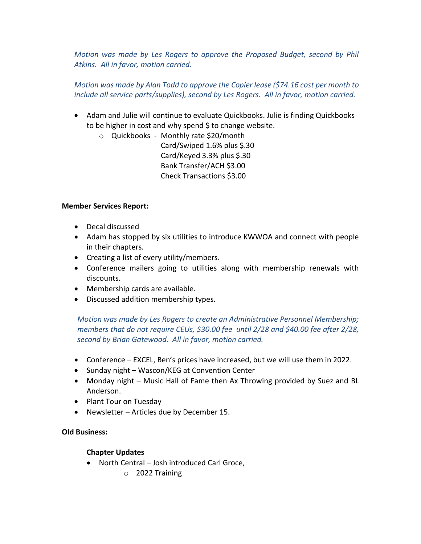*Motion was made by Les Rogers to approve the Proposed Budget, second by Phil Atkins. All in favor, motion carried.*

# *Motion was made by Alan Todd to approve the Copier lease (\$74.16 cost per month to include all service parts/supplies), second by Les Rogers. All in favor, motion carried.*

- Adam and Julie will continue to evaluate Quickbooks. Julie is finding Quickbooks to be higher in cost and why spend \$ to change website.
	- o Quickbooks Monthly rate \$20/month

Card/Swiped 1.6% plus \$.30 Card/Keyed 3.3% plus \$.30 Bank Transfer/ACH \$3.00 Check Transactions \$3.00

### **Member Services Report:**

- Decal discussed
- Adam has stopped by six utilities to introduce KWWOA and connect with people in their chapters.
- Creating a list of every utility/members.
- Conference mailers going to utilities along with membership renewals with discounts.
- Membership cards are available.
- Discussed addition membership types.

*Motion was made by Les Rogers to create an Administrative Personnel Membership; members that do not require CEUs, \$30.00 fee until 2/28 and \$40.00 fee after 2/28, second by Brian Gatewood. All in favor, motion carried.*

- Conference EXCEL, Ben's prices have increased, but we will use them in 2022.
- Sunday night Wascon/KEG at Convention Center
- Monday night Music Hall of Fame then Ax Throwing provided by Suez and BL Anderson.
- Plant Tour on Tuesday
- Newsletter Articles due by December 15.

# **Old Business:**

# **Chapter Updates**

- North Central Josh introduced Carl Groce,
	- o 2022 Training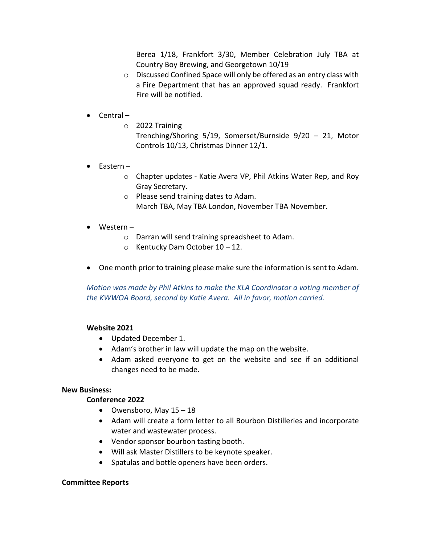Berea 1/18, Frankfort 3/30, Member Celebration July TBA at Country Boy Brewing, and Georgetown 10/19

- o Discussed Confined Space will only be offered as an entry class with a Fire Department that has an approved squad ready. Frankfort Fire will be notified.
- Central
	- o 2022 Training

Trenching/Shoring 5/19, Somerset/Burnside 9/20 – 21, Motor Controls 10/13, Christmas Dinner 12/1.

- Eastern
	- o Chapter updates Katie Avera VP, Phil Atkins Water Rep, and Roy Gray Secretary.
	- o Please send training dates to Adam. March TBA, May TBA London, November TBA November.
- Western
	- o Darran will send training spreadsheet to Adam.
	- o Kentucky Dam October 10 12.
- One month prior to training please make sure the information is sent to Adam.

*Motion was made by Phil Atkins to make the KLA Coordinator a voting member of the KWWOA Board, second by Katie Avera. All in favor, motion carried.*

### **Website 2021**

- Updated December 1.
- Adam's brother in law will update the map on the website.
- Adam asked everyone to get on the website and see if an additional changes need to be made.

### **New Business:**

### **Conference 2022**

- Owensboro, May 15 18
- Adam will create a form letter to all Bourbon Distilleries and incorporate water and wastewater process.
- Vendor sponsor bourbon tasting booth.
- Will ask Master Distillers to be keynote speaker.
- Spatulas and bottle openers have been orders.

### **Committee Reports**